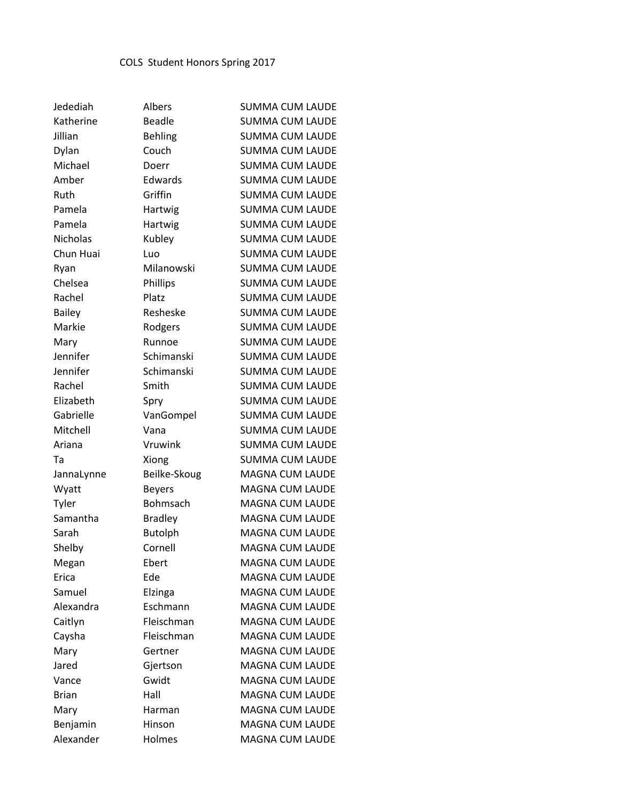| Jedediah        | Albers         | <b>SUMMA CUM LAUDE</b> |
|-----------------|----------------|------------------------|
| Katherine       | <b>Beadle</b>  | <b>SUMMA CUM LAUDE</b> |
| Jillian         | <b>Behling</b> | <b>SUMMA CUM LAUDE</b> |
| Dylan           | Couch          | <b>SUMMA CUM LAUDE</b> |
| Michael         | Doerr          | <b>SUMMA CUM LAUDE</b> |
| Amber           | Edwards        | <b>SUMMA CUM LAUDE</b> |
| Ruth            | Griffin        | <b>SUMMA CUM LAUDE</b> |
| Pamela          | Hartwig        | <b>SUMMA CUM LAUDE</b> |
| Pamela          | Hartwig        | <b>SUMMA CUM LAUDE</b> |
| <b>Nicholas</b> | Kubley         | <b>SUMMA CUM LAUDE</b> |
| Chun Huai       | Luo            | <b>SUMMA CUM LAUDE</b> |
| Ryan            | Milanowski     | <b>SUMMA CUM LAUDE</b> |
| Chelsea         | Phillips       | <b>SUMMA CUM LAUDE</b> |
| Rachel          | Platz          | <b>SUMMA CUM LAUDE</b> |
| <b>Bailey</b>   | Resheske       | <b>SUMMA CUM LAUDE</b> |
| Markie          | Rodgers        | <b>SUMMA CUM LAUDE</b> |
| Mary            | Runnoe         | <b>SUMMA CUM LAUDE</b> |
| Jennifer        | Schimanski     | <b>SUMMA CUM LAUDE</b> |
| Jennifer        | Schimanski     | <b>SUMMA CUM LAUDE</b> |
| Rachel          | Smith          | <b>SUMMA CUM LAUDE</b> |
| Elizabeth       | Spry           | <b>SUMMA CUM LAUDE</b> |
| Gabrielle       | VanGompel      | <b>SUMMA CUM LAUDE</b> |
| Mitchell        | Vana           | <b>SUMMA CUM LAUDE</b> |
| Ariana          | Vruwink        | <b>SUMMA CUM LAUDE</b> |
| Та              | Xiong          | <b>SUMMA CUM LAUDE</b> |
| JannaLynne      | Beilke-Skoug   | <b>MAGNA CUM LAUDE</b> |
| Wyatt           | <b>Beyers</b>  | MAGNA CUM LAUDE        |
| Tyler           | Bohmsach       | <b>MAGNA CUM LAUDE</b> |
| Samantha        | <b>Bradley</b> | <b>MAGNA CUM LAUDE</b> |
| Sarah           | <b>Butolph</b> | <b>MAGNA CUM LAUDE</b> |
| Shelby          | Cornell        | <b>MAGNA CUM LAUDE</b> |
| Megan           | Ebert          | <b>MAGNA CUM LAUDE</b> |
| Erica           | Ede            | <b>MAGNA CUM LAUDE</b> |
| Samuel          | Elzinga        | <b>MAGNA CUM LAUDE</b> |
| Alexandra       | Eschmann       | <b>MAGNA CUM LAUDE</b> |
| Caitlyn         | Fleischman     | <b>MAGNA CUM LAUDE</b> |
| Caysha          | Fleischman     | <b>MAGNA CUM LAUDE</b> |
| Mary            | Gertner        | <b>MAGNA CUM LAUDE</b> |
| Jared           | Gjertson       | <b>MAGNA CUM LAUDE</b> |
| Vance           | Gwidt          | <b>MAGNA CUM LAUDE</b> |
| Brian           | Hall           | <b>MAGNA CUM LAUDE</b> |
| Mary            | Harman         | <b>MAGNA CUM LAUDE</b> |
| Benjamin        | Hinson         | MAGNA CUM LAUDE        |
| Alexander       | Holmes         | MAGNA CUM LAUDE        |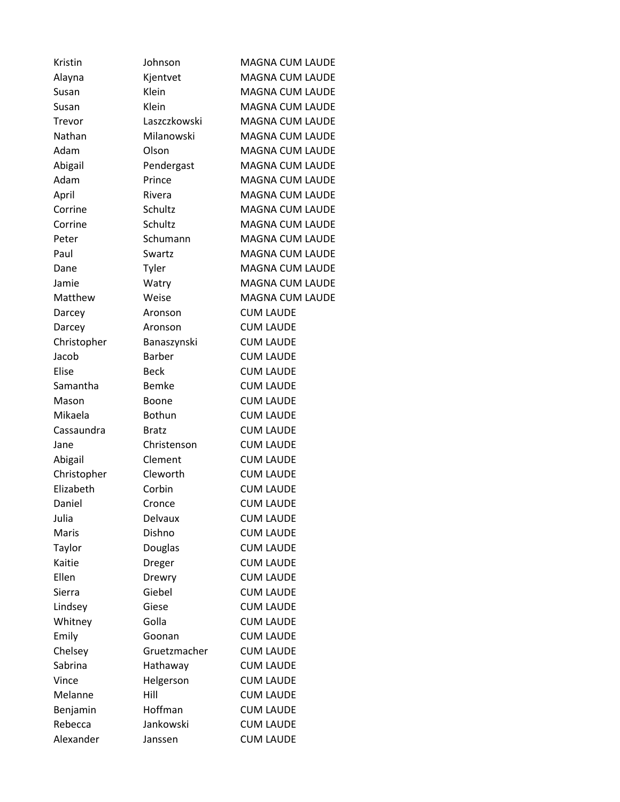| Kristin     | Johnson       | <b>MAGNA CUM LAUDE</b> |
|-------------|---------------|------------------------|
| Alayna      | Kjentvet      | <b>MAGNA CUM LAUDE</b> |
| Susan       | Klein         | <b>MAGNA CUM LAUDE</b> |
| Susan       | Klein         | <b>MAGNA CUM LAUDE</b> |
| Trevor      | Laszczkowski  | <b>MAGNA CUM LAUDE</b> |
| Nathan      | Milanowski    | <b>MAGNA CUM LAUDE</b> |
| Adam        | Olson         | <b>MAGNA CUM LAUDE</b> |
| Abigail     | Pendergast    | <b>MAGNA CUM LAUDE</b> |
| Adam        | Prince        | <b>MAGNA CUM LAUDE</b> |
| April       | Rivera        | <b>MAGNA CUM LAUDE</b> |
| Corrine     | Schultz       | <b>MAGNA CUM LAUDE</b> |
| Corrine     | Schultz       | <b>MAGNA CUM LAUDE</b> |
| Peter       | Schumann      | <b>MAGNA CUM LAUDE</b> |
| Paul        | Swartz        | <b>MAGNA CUM LAUDE</b> |
| Dane        | Tyler         | <b>MAGNA CUM LAUDE</b> |
| Jamie       | Watry         | <b>MAGNA CUM LAUDE</b> |
| Matthew     | Weise         | <b>MAGNA CUM LAUDE</b> |
| Darcey      | Aronson       | <b>CUM LAUDE</b>       |
| Darcey      | Aronson       | <b>CUM LAUDE</b>       |
| Christopher | Banaszynski   | <b>CUM LAUDE</b>       |
| Jacob       | Barber        | <b>CUM LAUDE</b>       |
| Elise       | <b>Beck</b>   | <b>CUM LAUDE</b>       |
| Samantha    | <b>Bemke</b>  | <b>CUM LAUDE</b>       |
| Mason       | Boone         | <b>CUM LAUDE</b>       |
| Mikaela     | <b>Bothun</b> | <b>CUM LAUDE</b>       |
| Cassaundra  | <b>Bratz</b>  | <b>CUM LAUDE</b>       |
| Jane        | Christenson   | <b>CUM LAUDE</b>       |
| Abigail     | Clement       | <b>CUM LAUDE</b>       |
| Christopher | Cleworth      | <b>CUM LAUDE</b>       |
| Elizabeth   | Corbin        | <b>CUM LAUDE</b>       |
| Daniel      | Cronce        | <b>CUM LAUDE</b>       |
| Julia       | Delvaux       | <b>CUM LAUDE</b>       |
| Maris       | Dishno        | <b>CUM LAUDE</b>       |
| Taylor      | Douglas       | <b>CUM LAUDE</b>       |
| Kaitie      | Dreger        | <b>CUM LAUDE</b>       |
| Ellen       | Drewry        | <b>CUM LAUDE</b>       |
| Sierra      | Giebel        | <b>CUM LAUDE</b>       |
| Lindsey     | Giese         | <b>CUM LAUDE</b>       |
| Whitney     | Golla         | <b>CUM LAUDE</b>       |
| Emily       | Goonan        | <b>CUM LAUDE</b>       |
| Chelsey     | Gruetzmacher  | <b>CUM LAUDE</b>       |
| Sabrina     | Hathaway      | <b>CUM LAUDE</b>       |
| Vince       | Helgerson     | <b>CUM LAUDE</b>       |
| Melanne     | Hill          | <b>CUM LAUDE</b>       |
| Benjamin    | Hoffman       | <b>CUM LAUDE</b>       |
| Rebecca     | Jankowski     | <b>CUM LAUDE</b>       |
| Alexander   | Janssen       | <b>CUM LAUDE</b>       |